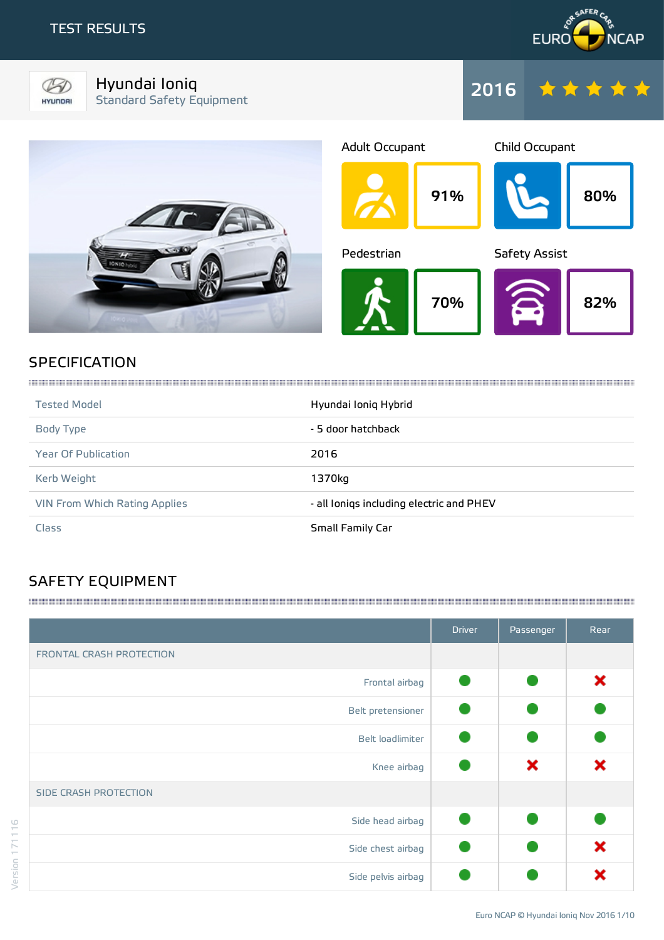HYUNDRI



Hyundai Ioniq Standard Safety Equipment





## **SPECIFICATION**

| <b>Tested Model</b>           | Hyundai Ioniq Hybrid                     |
|-------------------------------|------------------------------------------|
| Body Type                     | - 5 door hatchback                       |
| <b>Year Of Publication</b>    | 2016                                     |
| Kerb Weight                   | 1370kg                                   |
| VIN From Which Rating Applies | - all lonigs including electric and PHEV |
| Class                         | Small Family Car                         |

# SAFETY EQUIPMENT

|                          | <b>Driver</b> | Passenger | Rear |
|--------------------------|---------------|-----------|------|
| FRONTAL CRASH PROTECTION |               |           |      |
| Frontal airbag           |               |           | ×    |
| Belt pretensioner        |               |           |      |
| Belt loadlimiter         |               |           |      |
| Knee airbag              |               | ×         | ×    |
| SIDE CRASH PROTECTION    |               |           |      |
| Side head airbag         |               |           |      |
| Side chest airbag        |               |           | ×    |
| Side pelvis airbag       |               |           | Y    |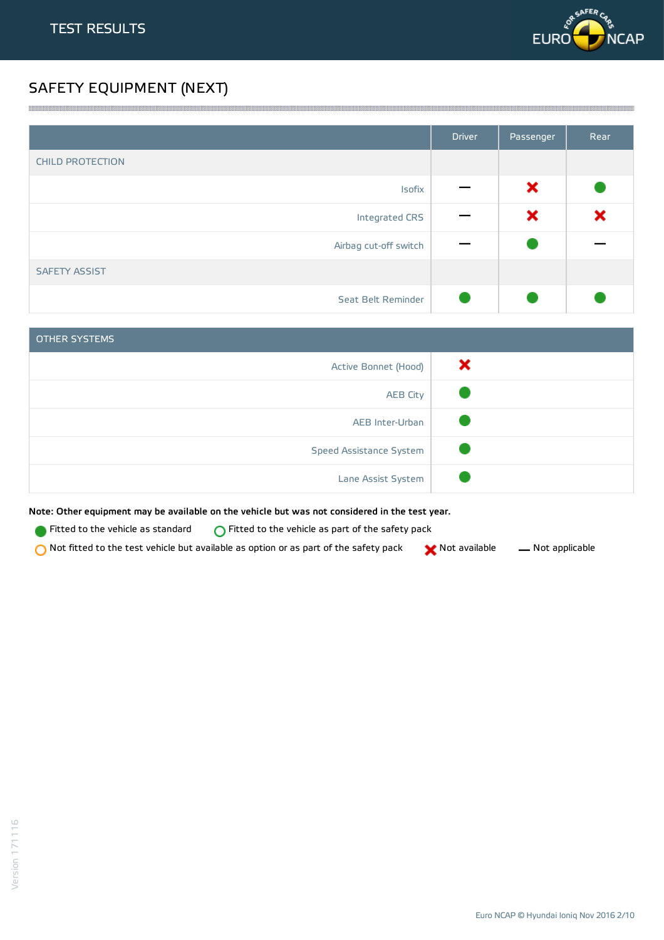

# SAFETY EQUIPMENT (NEXT)

|                         | <b>Driver</b> | Passenger | Rear |
|-------------------------|---------------|-----------|------|
| <b>CHILD PROTECTION</b> |               |           |      |
| Isofix                  |               | ×         |      |
| Integrated CRS          |               | ×         | ×    |
| Airbag cut-off switch   |               |           |      |
| <b>SAFETY ASSIST</b>    |               |           |      |
| Seat Belt Reminder      |               |           |      |

<u> 1989 - Andrea Stadt Stadt Stadt Stadt Stadt Stadt Stadt Stadt Stadt Stadt Stadt Stadt Stadt Stadt Stadt Stadt Stadt Stadt Stadt Stadt Stadt Stadt Stadt Stadt Stadt Stadt Stadt Stadt Stadt Stadt Stadt Stadt Stadt Stadt St</u>

| OTHER SYSTEMS           |   |
|-------------------------|---|
| Active Bonnet (Hood)    | x |
| <b>AEB City</b>         |   |
| AEB Inter-Urban         |   |
| Speed Assistance System |   |
| Lane Assist System      |   |

Note: Other equipment may be available on the vehicle but was not considered in the test year.

- **Fitted to the vehicle as standard**  $\bigcirc$  Fitted to the vehicle as part of the safety pack
- Not fitted to the test vehicle but available as option or as part of the safety pack  $\bigtimes$  Not available  $\qquad$  Not applicable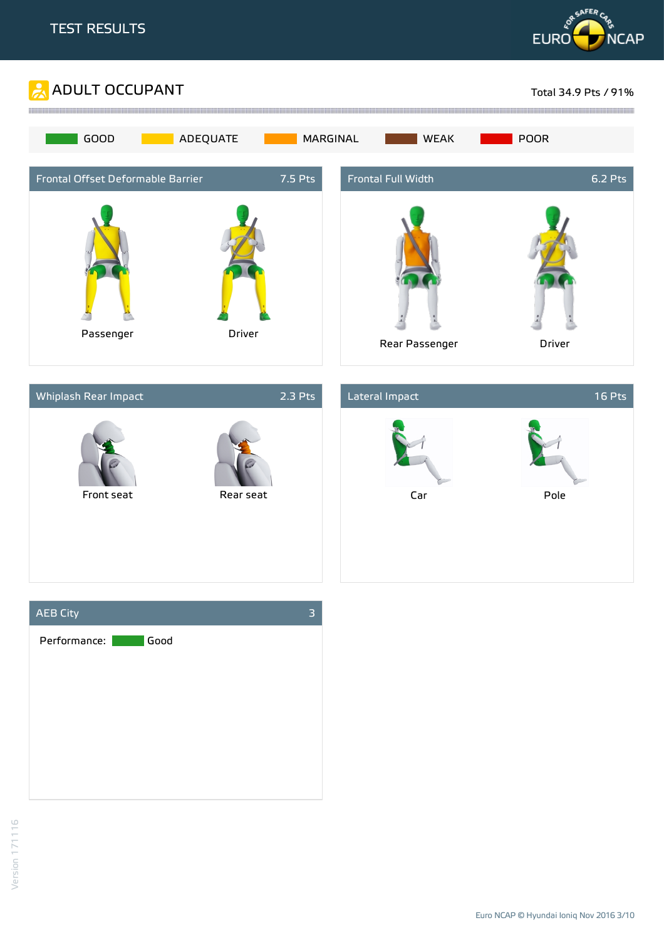







Euro NCAP © Hyundai Ioniq Nov 2016 3/10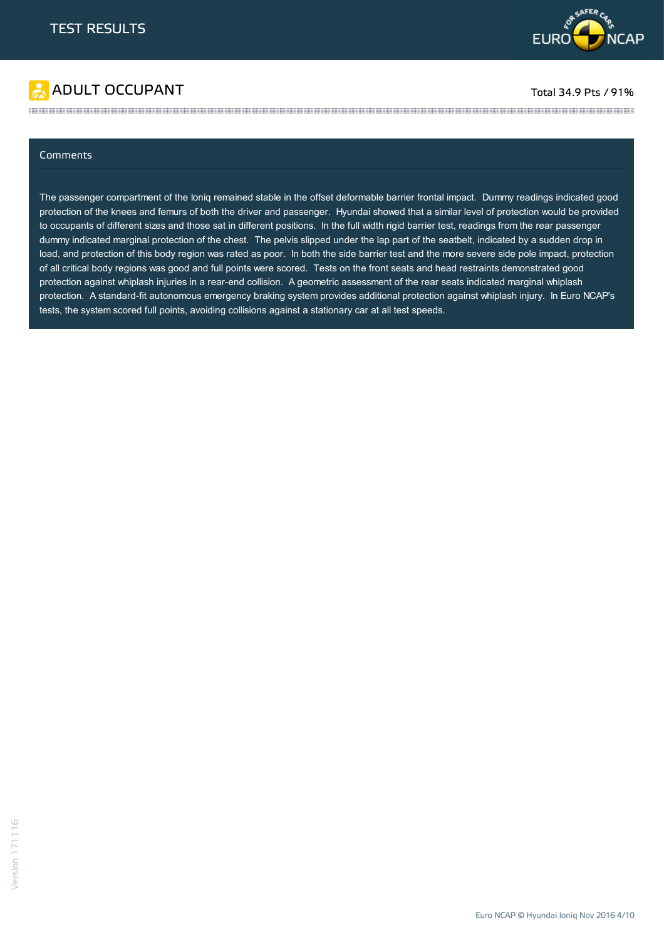

# ADULT OCCUPANT TO A RESERVE TO A RESERVE TO A RESERVE TOTAL 34.9 Pts / 91%

#### Comments

The passenger compartment of the Ioniq remained stable in the offset deformable barrier frontal impact. Dummy readings indicated good protection of the knees and femurs of both the driver and passenger. Hyundai showed that a similar level of protection would be provided to occupants of different sizes and those sat in different positions. In the full width rigid barrier test, readings from the rear passenger dummy indicated marginal protection of the chest. The pelvis slipped under the lap part of the seatbelt, indicated by a sudden drop in load, and protection of this body region was rated as poor. In both the side barrier test and the more severe side pole impact, protection of all critical body regions was good and full points were scored. Tests on the front seats and head restraints demonstrated good protection against whiplash injuries in a rear-end collision. A geometric assessment of the rear seats indicated marginal whiplash protection. A standard-fit autonomous emergency braking system provides additional protection against whiplash injury. In Euro NCAP's tests, the system scored full points, avoiding collisions against a stationary car at all test speeds.

the contract of the contract of the contract of the contract of the contract of the contract of the contract of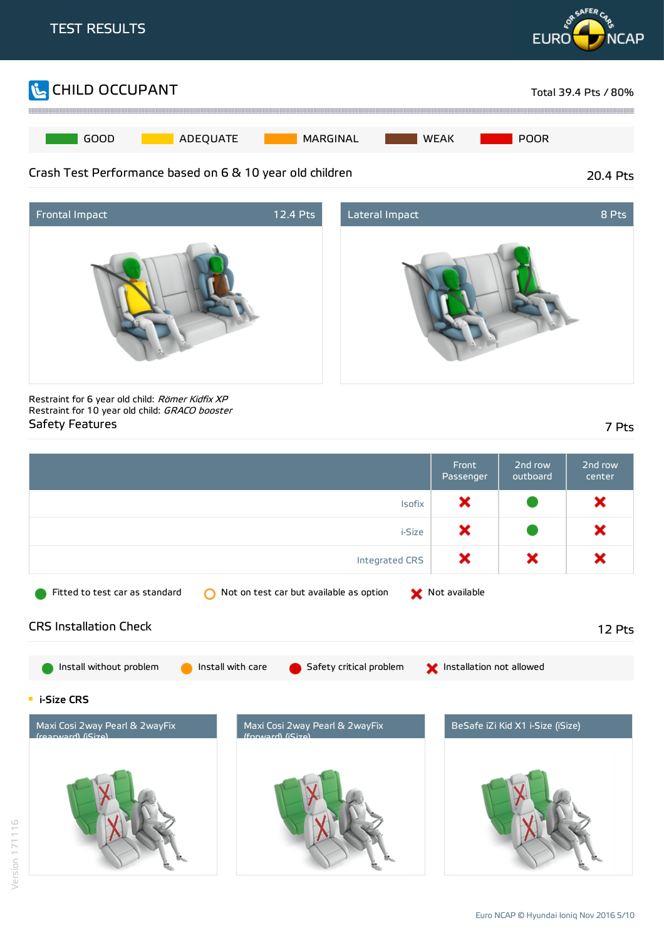





Restraint for 6 year old child: Römer Kidfix XP Restraint for 10 year old child: GRACO booster Safety Features 7 Pts

Front 2nd row 2nd row Passenger outboard center × × Isofix × × i-Size × × × Integrated CRS Fitted to test car as standard  $\bigcirc$  Not on test car but available as option  $\bullet$  Not available CRS Installation Check 12 Pts Install without problem Install with care Go Safety critical problem Installation not allowed **E** i-Size CRS Maxi Cosi 2way Pearl & 2wayFix Maxi Cosi 2way Pearl & 2wayFix BeSafe iZi Kid X1 i-Size (iSize) (rearward) (iSize)  $(format, c)$  ( $S = c$ )

Euro NCAP © Hyundai Ionig Nov 2016 5/10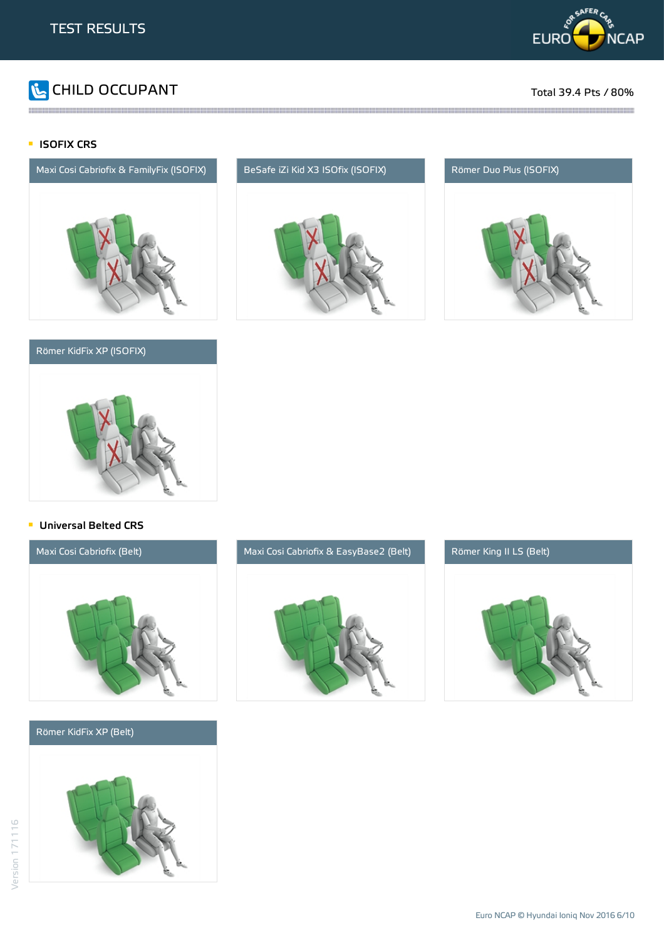

# **The CHILD OCCUPANT** Total 39.4 Pts / 80%

### **ISOFIX CRS**



### Römer KidFix XP (ISOFIX)



the contract of the contract of the contract of the contract of the contract of the contract of the contract of





#### **Universal Belted CRS**



#### Römer KidFix XP (Belt)





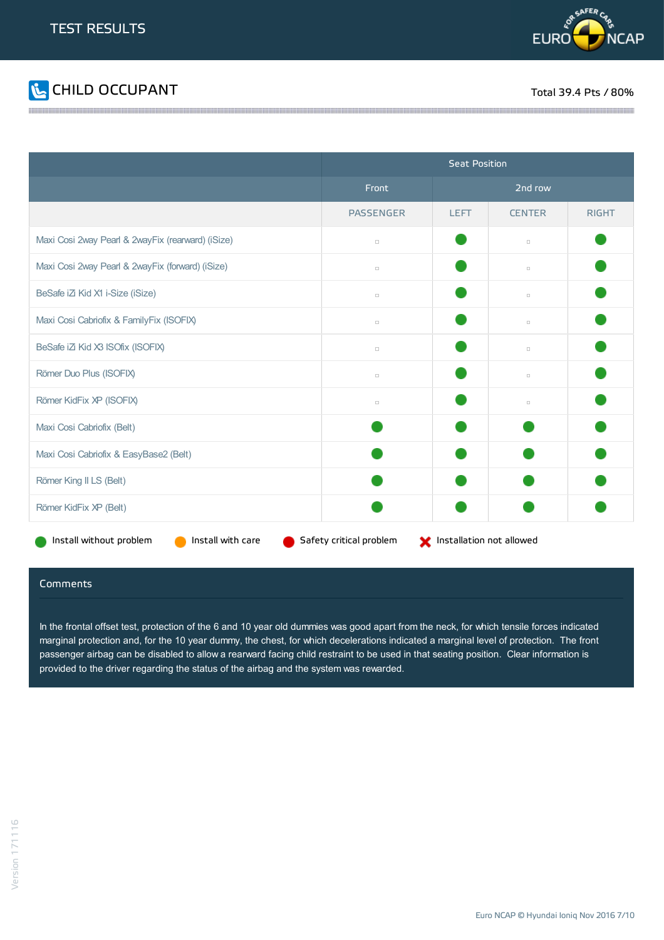



|                                                                                                     | <b>Seat Position</b> |             |               |              |
|-----------------------------------------------------------------------------------------------------|----------------------|-------------|---------------|--------------|
|                                                                                                     | Front                | 2nd row     |               |              |
|                                                                                                     | <b>PASSENGER</b>     | <b>LEFT</b> | <b>CENTER</b> | <b>RIGHT</b> |
| Maxi Cosi 2way Pearl & 2wayFix (rearward) (iSize)                                                   | $\Box$               |             | $\Box$        |              |
| Maxi Cosi 2way Pearl & 2wayFix (forward) (iSize)                                                    | $\Box$               |             | $\Box$        |              |
| BeSafe iZi Kid X1 i-Size (iSize)                                                                    | $\Box$               |             | $\Box$        |              |
| Maxi Cosi Cabriofix & FamilyFix (ISOFIX)                                                            | $\Box$               |             | $\Box$        |              |
| BeSafe iZi Kid X3 ISOfix (ISOFIX)                                                                   | $\Box$               |             | $\Box$        |              |
| Römer Duo Plus (ISOFIX)                                                                             | $\Box$               |             | $\Box$        |              |
| Römer KidFix XP (ISOFIX)                                                                            | $\Box$               |             | $\Box$        |              |
| Maxi Cosi Cabriofix (Belt)                                                                          |                      |             |               |              |
| Maxi Cosi Cabriofix & EasyBase2 (Belt)                                                              |                      |             |               |              |
| Römer King II LS (Belt)                                                                             |                      |             |               |              |
| Römer KidFix XP (Belt)                                                                              |                      |             |               |              |
| Install without problem<br>Install with care<br>Safety critical problem<br>Installation not allowed |                      |             |               |              |

#### Comments

In the frontal offset test, protection of the 6 and 10 year old dummies was good apart from the neck, for which tensile forces indicated marginal protection and, for the 10 year dummy, the chest, for which decelerations indicated a marginal level of protection. The front passenger airbag can be disabled to allow a rearward facing child restraint to be used in that seating position. Clear information is provided to the driver regarding the status of the airbag and the system was rewarded.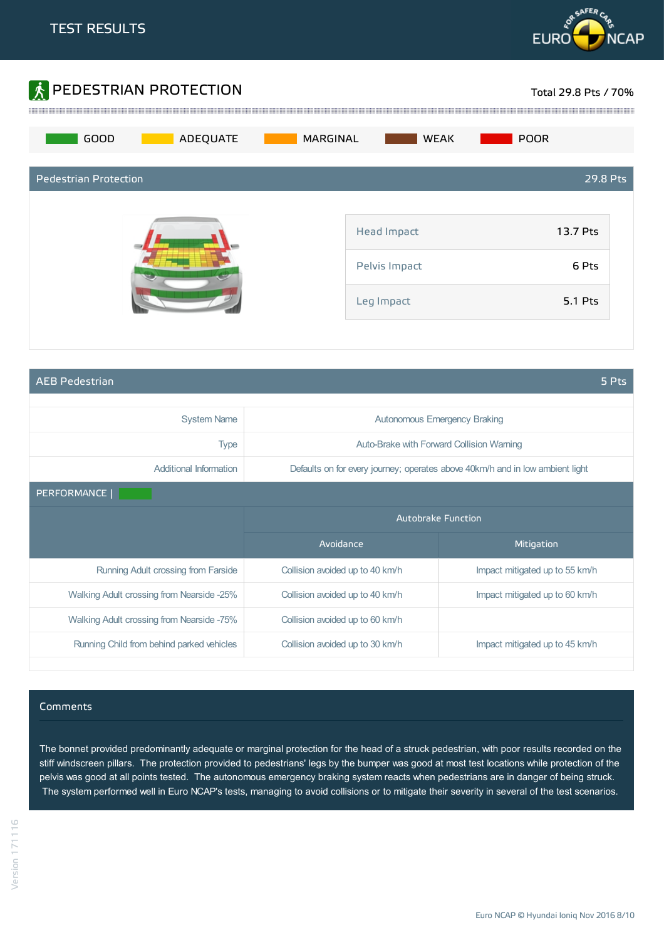



AEB Pedestrian 5 Pts

| <b>System Name</b>                        | <b>Autonomous Emergency Braking</b> |                                                                               |
|-------------------------------------------|-------------------------------------|-------------------------------------------------------------------------------|
| <b>Type</b>                               |                                     | Auto-Brake with Forward Collision Warning                                     |
| Additional Information                    |                                     | Defaults on for every journey; operates above 40km/h and in low ambient light |
| PERFORMANCE                               |                                     |                                                                               |
|                                           | <b>Autobrake Function</b>           |                                                                               |
|                                           | Avoidance                           | Mitigation                                                                    |
| Running Adult crossing from Farside       | Collision avoided up to 40 km/h     | Impact mitigated up to 55 km/h                                                |
| Walking Adult crossing from Nearside -25% | Collision avoided up to 40 km/h     | Impact mitigated up to 60 km/h                                                |
| Walking Adult crossing from Nearside -75% | Collision avoided up to 60 km/h     |                                                                               |
| Running Child from behind parked vehicles | Collision avoided up to 30 km/h     | Impact mitigated up to 45 km/h                                                |

#### Comments

The bonnet provided predominantly adequate or marginal protection for the head of a struck pedestrian, with poor results recorded on the stiff windscreen pillars. The protection provided to pedestrians' legs by the bumper was good at most test locations while protection of the pelvis was good at all points tested. The autonomous emergency braking system reacts when pedestrians are in danger of being struck. The system performed well in Euro NCAP's tests, managing to avoid collisions or to mitigate their severity in several of the test scenarios.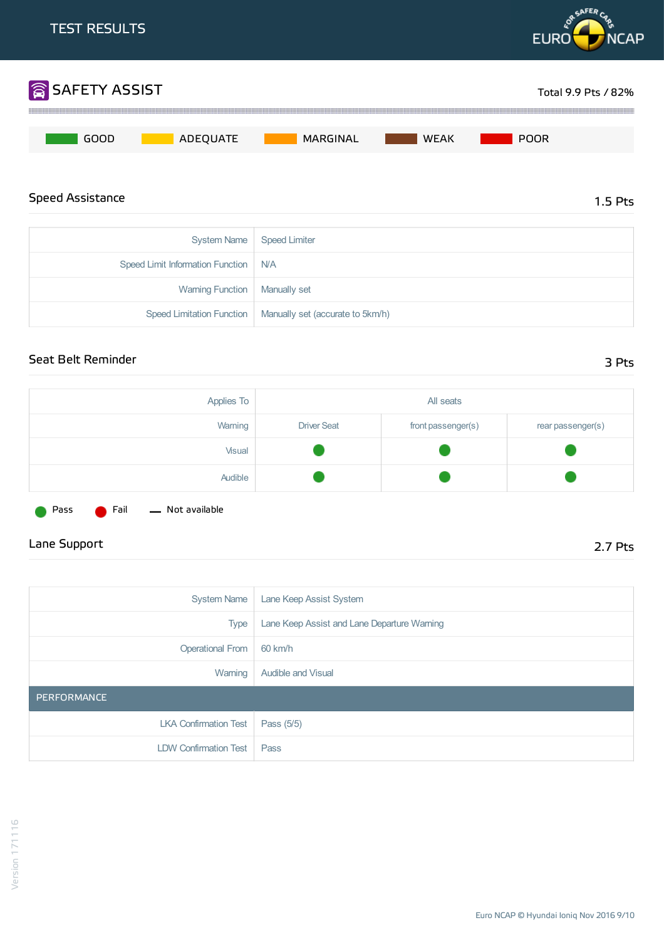

| Speed Limit Information Function   N/A |                                                              |
|----------------------------------------|--------------------------------------------------------------|
| Warning Function   Manually set        |                                                              |
|                                        | Speed Limitation Function   Manually set (accurate to 5km/h) |

### Seat Belt Reminder 3 Pts

| Applies To |                    | All seats          |                   |
|------------|--------------------|--------------------|-------------------|
| Warning    | <b>Driver Seat</b> | front passenger(s) | rear passenger(s) |
| Visual     |                    |                    |                   |
| Audible    |                    |                    |                   |

Pass **C** Fail - Not available

## Lane Support 2.7 Pts

| <b>System Name</b>           | Lane Keep Assist System                     |
|------------------------------|---------------------------------------------|
| <b>Type</b>                  | Lane Keep Assist and Lane Departure Warning |
| <b>Operational From</b>      | 60 km/h                                     |
| Warning                      | <b>Audible and Visual</b>                   |
| PERFORMANCE                  |                                             |
| <b>LKA Confirmation Test</b> | Pass (5/5)                                  |
| <b>LDW Confirmation Test</b> | Pass                                        |